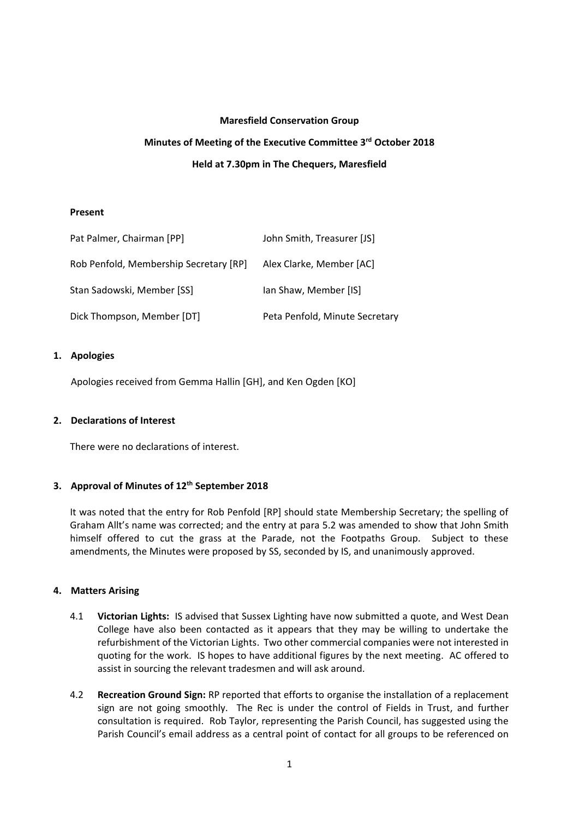#### **Maresfield Conservation Group**

# **Minutes of Meeting of the Executive Committee 3 rd October 2018 Held at 7.30pm in The Chequers, Maresfield**

## **Present**

| Pat Palmer, Chairman [PP]              | John Smith, Treasurer [JS]     |
|----------------------------------------|--------------------------------|
| Rob Penfold, Membership Secretary [RP] | Alex Clarke, Member [AC]       |
| Stan Sadowski, Member [SS]             | lan Shaw, Member [IS]          |
| Dick Thompson, Member [DT]             | Peta Penfold, Minute Secretary |

#### **1. Apologies**

Apologies received from Gemma Hallin [GH], and Ken Ogden [KO]

## **2. Declarations of Interest**

There were no declarations of interest.

## **3. Approval of Minutes of 12th September 2018**

It was noted that the entry for Rob Penfold [RP] should state Membership Secretary; the spelling of Graham Allt's name was corrected; and the entry at para 5.2 was amended to show that John Smith himself offered to cut the grass at the Parade, not the Footpaths Group. Subject to these amendments, the Minutes were proposed by SS, seconded by IS, and unanimously approved.

## **4. Matters Arising**

- 4.1 **Victorian Lights:** IS advised that Sussex Lighting have now submitted a quote, and West Dean College have also been contacted as it appears that they may be willing to undertake the refurbishment of the Victorian Lights. Two other commercial companies were not interested in quoting for the work. IS hopes to have additional figures by the next meeting. AC offered to assist in sourcing the relevant tradesmen and will ask around.
- 4.2 **Recreation Ground Sign:** RP reported that efforts to organise the installation of a replacement sign are not going smoothly. The Rec is under the control of Fields in Trust, and further consultation is required. Rob Taylor, representing the Parish Council, has suggested using the Parish Council's email address as a central point of contact for all groups to be referenced on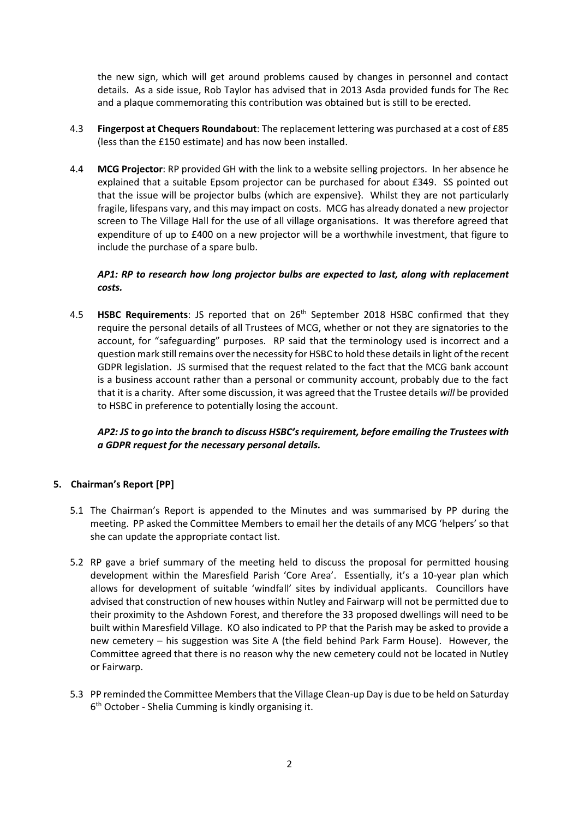the new sign, which will get around problems caused by changes in personnel and contact details. As a side issue, Rob Taylor has advised that in 2013 Asda provided funds for The Rec and a plaque commemorating this contribution was obtained but is still to be erected.

- 4.3 **Fingerpost at Chequers Roundabout**: The replacement lettering was purchased at a cost of £85 (less than the £150 estimate) and has now been installed.
- 4.4 **MCG Projector**: RP provided GH with the link to a website selling projectors. In her absence he explained that a suitable Epsom projector can be purchased for about £349. SS pointed out that the issue will be projector bulbs (which are expensive}. Whilst they are not particularly fragile, lifespans vary, and this may impact on costs. MCG has already donated a new projector screen to The Village Hall for the use of all village organisations. It was therefore agreed that expenditure of up to £400 on a new projector will be a worthwhile investment, that figure to include the purchase of a spare bulb.

## *AP1: RP to research how long projector bulbs are expected to last, along with replacement costs.*

4.5 **HSBC Requirements**: JS reported that on 26<sup>th</sup> September 2018 HSBC confirmed that they require the personal details of all Trustees of MCG, whether or not they are signatories to the account, for "safeguarding" purposes. RP said that the terminology used is incorrect and a question mark still remains over the necessity for HSBC to hold these details in light of the recent GDPR legislation. JS surmised that the request related to the fact that the MCG bank account is a business account rather than a personal or community account, probably due to the fact that it is a charity. After some discussion, it was agreed that the Trustee details *will* be provided to HSBC in preference to potentially losing the account.

*AP2: JS to go into the branch to discuss HSBC's requirement, before emailing the Trustees with a GDPR request for the necessary personal details.* 

## **5. Chairman's Report [PP]**

- 5.1 The Chairman's Report is appended to the Minutes and was summarised by PP during the meeting. PP asked the Committee Members to email her the details of any MCG 'helpers' so that she can update the appropriate contact list.
- 5.2 RP gave a brief summary of the meeting held to discuss the proposal for permitted housing development within the Maresfield Parish 'Core Area'. Essentially, it's a 10-year plan which allows for development of suitable 'windfall' sites by individual applicants. Councillors have advised that construction of new houses within Nutley and Fairwarp will not be permitted due to their proximity to the Ashdown Forest, and therefore the 33 proposed dwellings will need to be built within Maresfield Village. KO also indicated to PP that the Parish may be asked to provide a new cemetery – his suggestion was Site A (the field behind Park Farm House). However, the Committee agreed that there is no reason why the new cemetery could not be located in Nutley or Fairwarp.
- 5.3 PP reminded the Committee Members that the Village Clean-up Day is due to be held on Saturday 6 th October - Shelia Cumming is kindly organising it.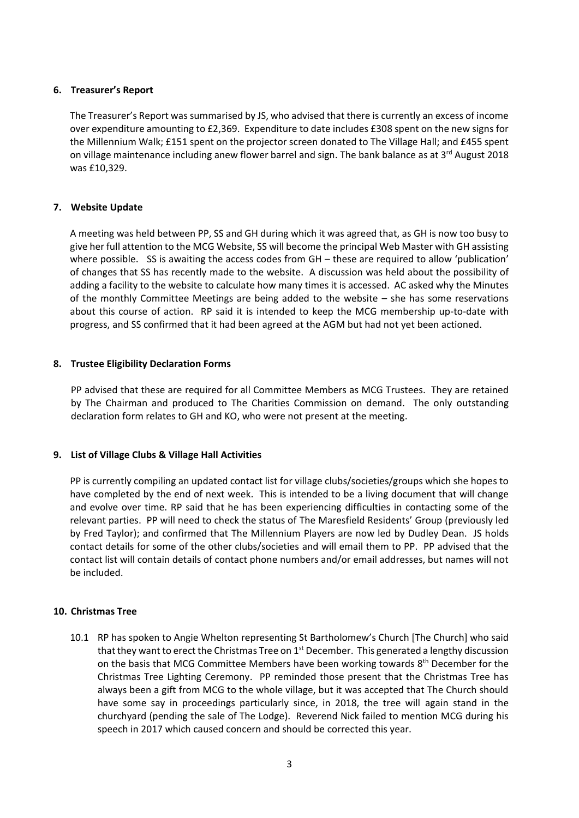## **6. Treasurer's Report**

The Treasurer's Report was summarised by JS, who advised that there is currently an excess of income over expenditure amounting to £2,369. Expenditure to date includes £308 spent on the new signs for the Millennium Walk; £151 spent on the projector screen donated to The Village Hall; and £455 spent on village maintenance including anew flower barrel and sign. The bank balance as at 3<sup>rd</sup> August 2018 was £10,329.

## **7. Website Update**

A meeting was held between PP, SS and GH during which it was agreed that, as GH is now too busy to give her full attention to the MCG Website, SS will become the principal Web Master with GH assisting where possible. SS is awaiting the access codes from GH – these are required to allow 'publication' of changes that SS has recently made to the website. A discussion was held about the possibility of adding a facility to the website to calculate how many times it is accessed. AC asked why the Minutes of the monthly Committee Meetings are being added to the website – she has some reservations about this course of action. RP said it is intended to keep the MCG membership up-to-date with progress, and SS confirmed that it had been agreed at the AGM but had not yet been actioned.

## **8. Trustee Eligibility Declaration Forms**

PP advised that these are required for all Committee Members as MCG Trustees. They are retained by The Chairman and produced to The Charities Commission on demand. The only outstanding declaration form relates to GH and KO, who were not present at the meeting.

## **9. List of Village Clubs & Village Hall Activities**

PP is currently compiling an updated contact list for village clubs/societies/groups which she hopes to have completed by the end of next week. This is intended to be a living document that will change and evolve over time. RP said that he has been experiencing difficulties in contacting some of the relevant parties. PP will need to check the status of The Maresfield Residents' Group (previously led by Fred Taylor); and confirmed that The Millennium Players are now led by Dudley Dean. JS holds contact details for some of the other clubs/societies and will email them to PP. PP advised that the contact list will contain details of contact phone numbers and/or email addresses, but names will not be included.

## **10. Christmas Tree**

10.1 RP has spoken to Angie Whelton representing St Bartholomew's Church [The Church] who said that they want to erect the Christmas Tree on 1<sup>st</sup> December. This generated a lengthy discussion on the basis that MCG Committee Members have been working towards 8<sup>th</sup> December for the Christmas Tree Lighting Ceremony. PP reminded those present that the Christmas Tree has always been a gift from MCG to the whole village, but it was accepted that The Church should have some say in proceedings particularly since, in 2018, the tree will again stand in the churchyard (pending the sale of The Lodge). Reverend Nick failed to mention MCG during his speech in 2017 which caused concern and should be corrected this year.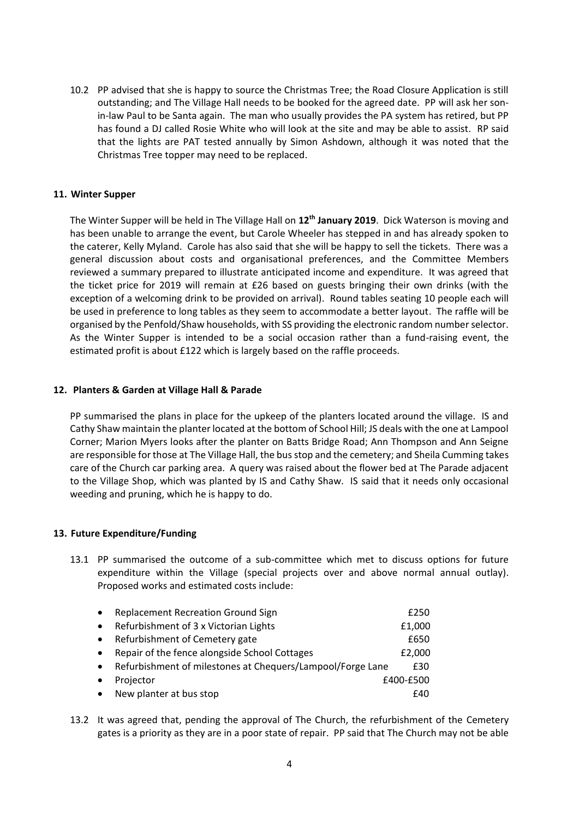10.2 PP advised that she is happy to source the Christmas Tree; the Road Closure Application is still outstanding; and The Village Hall needs to be booked for the agreed date. PP will ask her sonin-law Paul to be Santa again. The man who usually provides the PA system has retired, but PP has found a DJ called Rosie White who will look at the site and may be able to assist. RP said that the lights are PAT tested annually by Simon Ashdown, although it was noted that the Christmas Tree topper may need to be replaced.

#### **11. Winter Supper**

The Winter Supper will be held in The Village Hall on **12th January 2019**. Dick Waterson is moving and has been unable to arrange the event, but Carole Wheeler has stepped in and has already spoken to the caterer, Kelly Myland. Carole has also said that she will be happy to sell the tickets. There was a general discussion about costs and organisational preferences, and the Committee Members reviewed a summary prepared to illustrate anticipated income and expenditure. It was agreed that the ticket price for 2019 will remain at £26 based on guests bringing their own drinks (with the exception of a welcoming drink to be provided on arrival). Round tables seating 10 people each will be used in preference to long tables as they seem to accommodate a better layout. The raffle will be organised by the Penfold/Shaw households, with SS providing the electronic random number selector. As the Winter Supper is intended to be a social occasion rather than a fund-raising event, the estimated profit is about £122 which is largely based on the raffle proceeds.

#### **12. Planters & Garden at Village Hall & Parade**

PP summarised the plans in place for the upkeep of the planters located around the village. IS and Cathy Shaw maintain the planter located at the bottom of School Hill; JS deals with the one at Lampool Corner; Marion Myers looks after the planter on Batts Bridge Road; Ann Thompson and Ann Seigne are responsible for those at The Village Hall, the bus stop and the cemetery; and Sheila Cumming takes care of the Church car parking area. A query was raised about the flower bed at The Parade adjacent to the Village Shop, which was planted by IS and Cathy Shaw. IS said that it needs only occasional weeding and pruning, which he is happy to do.

## **13. Future Expenditure/Funding**

13.1 PP summarised the outcome of a sub-committee which met to discuss options for future expenditure within the Village (special projects over and above normal annual outlay). Proposed works and estimated costs include:

| $\bullet$ | <b>Replacement Recreation Ground Sign</b>                  | £250      |
|-----------|------------------------------------------------------------|-----------|
| $\bullet$ | Refurbishment of 3 x Victorian Lights                      | £1,000    |
| $\bullet$ | Refurbishment of Cemetery gate                             | £650      |
| $\bullet$ | Repair of the fence alongside School Cottages              | £2,000    |
| $\bullet$ | Refurbishment of milestones at Chequers/Lampool/Forge Lane | £30       |
| $\bullet$ | Projector                                                  | £400-£500 |
| $\bullet$ | New planter at bus stop                                    | £40       |

13.2 It was agreed that, pending the approval of The Church, the refurbishment of the Cemetery gates is a priority as they are in a poor state of repair. PP said that The Church may not be able